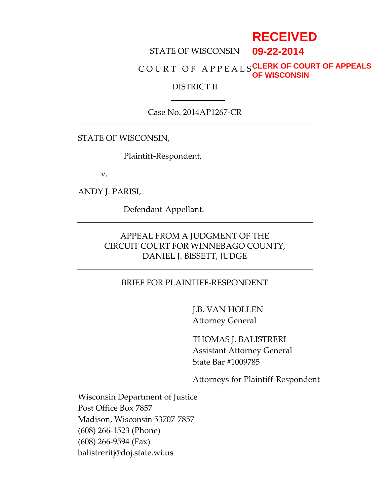# **RECEIVED**

#### STATE OF WISCONSIN **09-22-2014**

#### C O U R T O F A P P E A L S **CLERK OF COURT OF APPEALS OF WISCONSIN**

#### DISTRICT II

#### Case No. 2014AP1267-CR

#### STATE OF WISCONSIN,

Plaintiff-Respondent,

v.

ANDY J. PARISI,

Defendant-Appellant.

# APPEAL FROM A JUDGMENT OF THE CIRCUIT COURT FOR WINNEBAGO COUNTY, DANIEL J. BISSETT, JUDGE

#### BRIEF FOR PLAINTIFF-RESPONDENT

J.B. VAN HOLLEN Attorney General

THOMAS J. BALISTRERI Assistant Attorney General State Bar #1009785

Attorneys for Plaintiff-Respondent

Wisconsin Department of Justice Post Office Box 7857 Madison, Wisconsin 53707-7857 (608) 266-1523 (Phone) (608) 266-9594 (Fax) balistreritj@doj.state.wi.us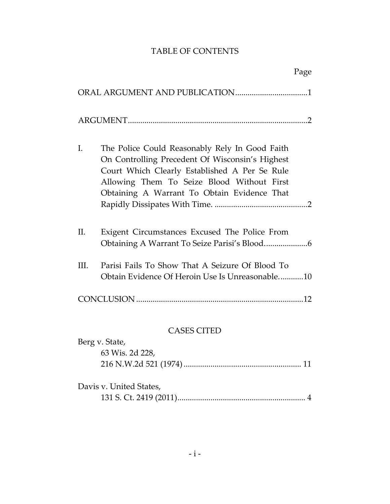# TABLE OF CONTENTS

|                | Page                                                                                                                                                                                                                                            |
|----------------|-------------------------------------------------------------------------------------------------------------------------------------------------------------------------------------------------------------------------------------------------|
|                |                                                                                                                                                                                                                                                 |
|                |                                                                                                                                                                                                                                                 |
| I.             | The Police Could Reasonably Rely In Good Faith<br>On Controlling Precedent Of Wisconsin's Highest<br>Court Which Clearly Established A Per Se Rule<br>Allowing Them To Seize Blood Without First<br>Obtaining A Warrant To Obtain Evidence That |
| Π.             | Exigent Circumstances Excused The Police From                                                                                                                                                                                                   |
| III.           | Parisi Fails To Show That A Seizure Of Blood To<br>Obtain Evidence Of Heroin Use Is Unreasonable10                                                                                                                                              |
|                |                                                                                                                                                                                                                                                 |
|                | <b>CASES CITED</b>                                                                                                                                                                                                                              |
| Berg v. State, |                                                                                                                                                                                                                                                 |
|                | 63 Wis. 2d 228,                                                                                                                                                                                                                                 |
|                |                                                                                                                                                                                                                                                 |
|                | Davis v. United States,                                                                                                                                                                                                                         |
|                |                                                                                                                                                                                                                                                 |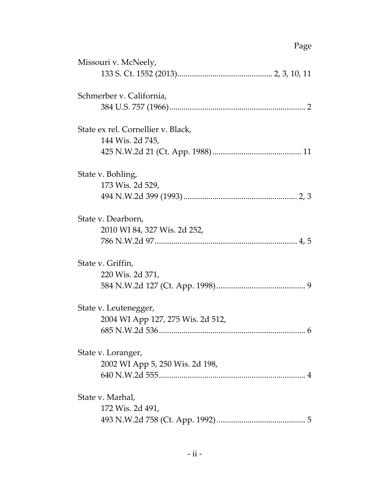# Page

| Missouri v. McNeely,                                       |
|------------------------------------------------------------|
| Schmerber v. California,                                   |
| State ex rel. Cornellier v. Black,<br>144 Wis. 2d 745,     |
| State v. Bohling,<br>173 Wis. 2d 529,                      |
| State v. Dearborn,<br>2010 WI 84, 327 Wis. 2d 252,         |
| State v. Griffin,<br>220 Wis. 2d 371,                      |
| State v. Leutenegger,<br>2004 WI App 127, 275 Wis. 2d 512, |
| State v. Loranger,<br>2002 WI App 5, 250 Wis. 2d 198,      |
| State v. Marhal,<br>172 Wis. 2d 491,                       |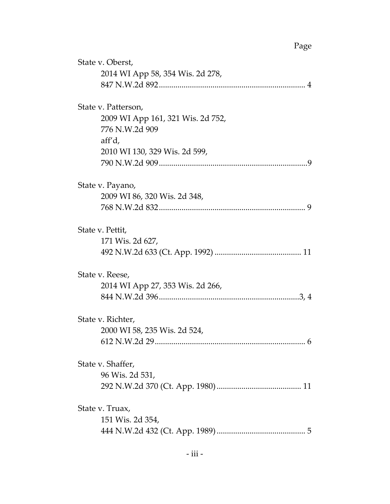# Page

| State v. Oberst,<br>2014 WI App 58, 354 Wis. 2d 278,                                 |
|--------------------------------------------------------------------------------------|
|                                                                                      |
| State v. Patterson,<br>2009 WI App 161, 321 Wis. 2d 752,<br>776 N.W.2d 909<br>aff'd, |
| 2010 WI 130, 329 Wis. 2d 599,                                                        |
|                                                                                      |
| State v. Payano,                                                                     |
| 2009 WI 86, 320 Wis. 2d 348,                                                         |
|                                                                                      |
| State v. Pettit,                                                                     |
| 171 Wis. 2d 627,                                                                     |
|                                                                                      |
| State v. Reese,                                                                      |
| 2014 WI App 27, 353 Wis. 2d 266,                                                     |
|                                                                                      |
| State v. Richter,                                                                    |
| 2000 WI 58, 235 Wis. 2d 524,                                                         |
|                                                                                      |
| State v. Shaffer,                                                                    |
| 96 Wis. 2d 531,                                                                      |
|                                                                                      |
| State v. Truax,                                                                      |
| 151 Wis. 2d 354,                                                                     |
|                                                                                      |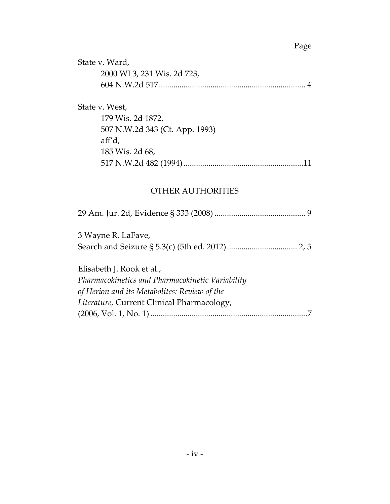### Page

| State v. Ward,              |
|-----------------------------|
| 2000 WI 3, 231 Wis. 2d 723, |
|                             |

#### State v. West,

| 179 Wis. 2d 1872,<br>507 N.W.2d 343 (Ct. App. 1993) |  |
|-----------------------------------------------------|--|
|                                                     |  |
|                                                     |  |
| aff'd,                                              |  |
| 185 Wis. 2d 68,                                     |  |
|                                                     |  |

#### OTHER AUTHORITIES

|--|--|--|--|--|--|--|

3 Wayne R. LaFave, Search and Seizure § 5.3(c) (5th ed. 2012).................................. 2, 5

Elisabeth J. Rook et al., *Pharmacokinetics and Pharmacokinetic Variability of Herion and its Metabolites: Review of the Literature,* Current Clinical Pharmacology, (2006, Vol. 1, No. 1) *............................................................................*7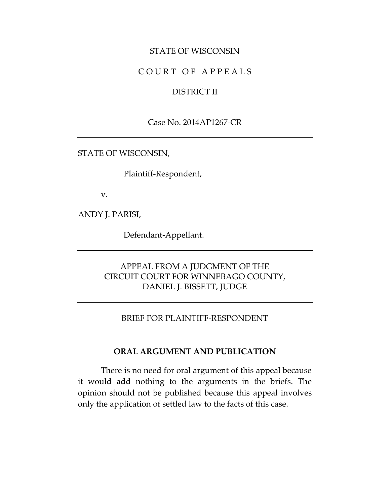#### STATE OF WISCONSIN

### COURT OF APPEALS

#### DISTRICT II

Case No. 2014AP1267-CR

STATE OF WISCONSIN,

Plaintiff-Respondent,

v.

ANDY J. PARISI,

Defendant-Appellant.

### APPEAL FROM A JUDGMENT OF THE CIRCUIT COURT FOR WINNEBAGO COUNTY, DANIEL J. BISSETT, JUDGE

#### BRIEF FOR PLAINTIFF-RESPONDENT

#### **ORAL ARGUMENT AND PUBLICATION**

There is no need for oral argument of this appeal because it would add nothing to the arguments in the briefs. The opinion should not be published because this appeal involves only the application of settled law to the facts of this case.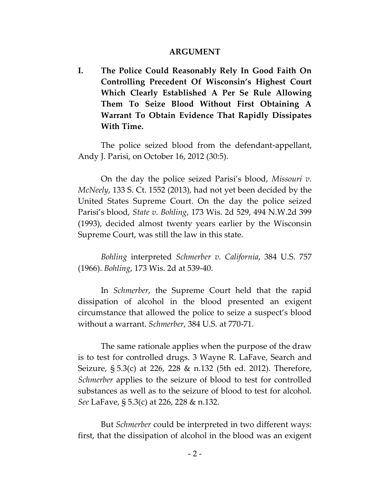#### **ARGUMENT**

**I. The Police Could Reasonably Rely In Good Faith On Controlling Precedent Of Wisconsin's Highest Court Which Clearly Established A Per Se Rule Allowing Them To Seize Blood Without First Obtaining A Warrant To Obtain Evidence That Rapidly Dissipates With Time.**

The police seized blood from the defendant-appellant, Andy J. Parisi, on October 16, 2012 (30:5).

On the day the police seized Parisi's blood, *Missouri v. McNeely*, 133 S. Ct. 1552 (2013), had not yet been decided by the United States Supreme Court. On the day the police seized Parisi's blood, *State v. Bohling*, 173 Wis. 2d 529, 494 N.W.2d 399 (1993), decided almost twenty years earlier by the Wisconsin Supreme Court, was still the law in this state.

*Bohling* interpreted *Schmerber v. California*, 384 U.S. 757 (1966). *Bohling*, 173 Wis. 2d at 539-40.

In *Schmerber*, the Supreme Court held that the rapid dissipation of alcohol in the blood presented an exigent circumstance that allowed the police to seize a suspect's blood without a warrant. *Schmerber*, 384 U.S. at 770-71.

The same rationale applies when the purpose of the draw is to test for controlled drugs. 3 Wayne R. LaFave, Search and Seizure, § 5.3(c) at 226, 228 & n.132 (5th ed. 2012). Therefore, *Schmerber* applies to the seizure of blood to test for controlled substances as well as to the seizure of blood to test for alcohol. *See* LaFave, § 5.3(c) at 226, 228 & n.132.

But *Schmerber* could be interpreted in two different ways: first, that the dissipation of alcohol in the blood was an exigent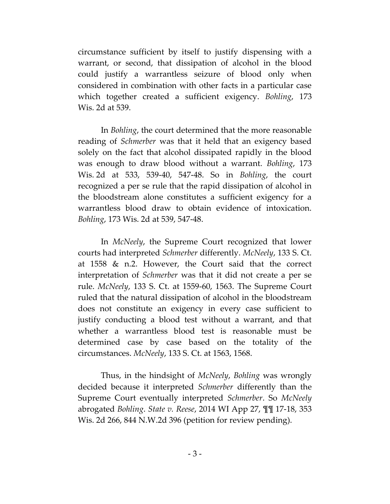circumstance sufficient by itself to justify dispensing with a warrant, or second, that dissipation of alcohol in the blood could justify a warrantless seizure of blood only when considered in combination with other facts in a particular case which together created a sufficient exigency. *Bohling*, 173 Wis. 2d at 539.

In *Bohling*, the court determined that the more reasonable reading of *Schmerber* was that it held that an exigency based solely on the fact that alcohol dissipated rapidly in the blood was enough to draw blood without a warrant. *Bohling*, 173 Wis. 2d at 533, 539-40, 547-48. So in *Bohling*, the court recognized a per se rule that the rapid dissipation of alcohol in the bloodstream alone constitutes a sufficient exigency for a warrantless blood draw to obtain evidence of intoxication. *Bohling*, 173 Wis. 2d at 539, 547-48.

In *McNeely*, the Supreme Court recognized that lower courts had interpreted *Schmerber* differently. *McNeely*, 133 S. Ct. at 1558 & n.2. However, the Court said that the correct interpretation of *Schmerber* was that it did not create a per se rule. *McNeely*, 133 S. Ct. at 1559-60, 1563. The Supreme Court ruled that the natural dissipation of alcohol in the bloodstream does not constitute an exigency in every case sufficient to justify conducting a blood test without a warrant, and that whether a warrantless blood test is reasonable must be determined case by case based on the totality of the circumstances. *McNeely*, 133 S. Ct. at 1563, 1568.

Thus, in the hindsight of *McNeely*, *Bohling* was wrongly decided because it interpreted *Schmerber* differently than the Supreme Court eventually interpreted *Schmerber*. So *McNeely* abrogated *Bohling*. *State v. Reese*, 2014 WI App 27, ¶¶ 17-18, 353 Wis. 2d 266, 844 N.W.2d 396 (petition for review pending).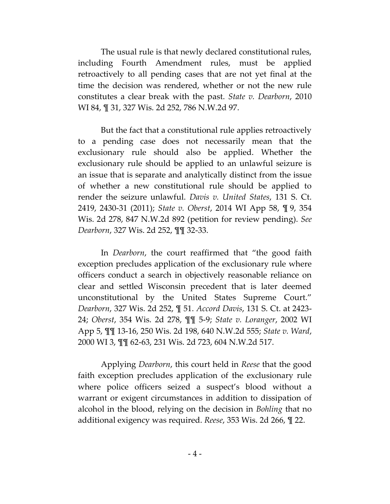The usual rule is that newly declared constitutional rules, including Fourth Amendment rules, must be applied retroactively to all pending cases that are not yet final at the time the decision was rendered, whether or not the new rule constitutes a clear break with the past. *State v. Dearborn*, 2010 WI 84, ¶ 31, 327 Wis. 2d 252, 786 N.W.2d 97.

But the fact that a constitutional rule applies retroactively to a pending case does not necessarily mean that the exclusionary rule should also be applied. Whether the exclusionary rule should be applied to an unlawful seizure is an issue that is separate and analytically distinct from the issue of whether a new constitutional rule should be applied to render the seizure unlawful. *Davis v. United States*, 131 S. Ct. 2419, 2430-31 (2011); *State v. Oberst*, 2014 WI App 58, ¶ 9, 354 Wis. 2d 278, 847 N.W.2d 892 (petition for review pending). *See Dearborn*, 327 Wis. 2d 252, ¶¶ 32-33.

In *Dearborn*, the court reaffirmed that "the good faith exception precludes application of the exclusionary rule where officers conduct a search in objectively reasonable reliance on clear and settled Wisconsin precedent that is later deemed unconstitutional by the United States Supreme Court." *Dearborn*, 327 Wis. 2d 252, ¶ 51. *Accord Davis*, 131 S. Ct. at 2423- 24; *Oberst*, 354 Wis. 2d 278, ¶¶ 5-9; *State v. Loranger*, 2002 WI App 5, ¶¶ 13-16, 250 Wis. 2d 198, 640 N.W.2d 555; *State v. Ward*, 2000 WI 3, ¶¶ 62-63, 231 Wis. 2d 723, 604 N.W.2d 517.

Applying *Dearborn*, this court held in *Reese* that the good faith exception precludes application of the exclusionary rule where police officers seized a suspect's blood without a warrant or exigent circumstances in addition to dissipation of alcohol in the blood, relying on the decision in *Bohling* that no additional exigency was required. *Reese*, 353 Wis. 2d 266, ¶ 22.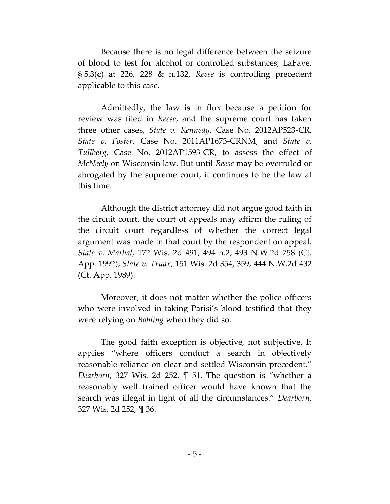Because there is no legal difference between the seizure of blood to test for alcohol or controlled substances, LaFave, § 5.3(c) at 226, 228 & n.132, *Reese* is controlling precedent applicable to this case.

Admittedly, the law is in flux because a petition for review was filed in *Reese*, and the supreme court has taken three other cases, *State v. Kennedy*, Case No. 2012AP523-CR, *State v. Foster*, Case No. 2011AP1673-CRNM, and *State v. Tullberg*, Case No. 2012AP1593-CR, to assess the effect of *McNeely* on Wisconsin law. But until *Reese* may be overruled or abrogated by the supreme court, it continues to be the law at this time.

Although the district attorney did not argue good faith in the circuit court, the court of appeals may affirm the ruling of the circuit court regardless of whether the correct legal argument was made in that court by the respondent on appeal. *State v. Marhal*, 172 Wis. 2d 491, 494 n.2, 493 N.W.2d 758 (Ct. App. 1992); *State v. Truax*, 151 Wis. 2d 354, 359, 444 N.W.2d 432 (Ct. App. 1989).

Moreover, it does not matter whether the police officers who were involved in taking Parisi's blood testified that they were relying on *Bohling* when they did so.

The good faith exception is objective, not subjective. It applies "where officers conduct a search in objectively reasonable reliance on clear and settled Wisconsin precedent." *Dearborn*, 327 Wis. 2d 252, ¶ 51. The question is "whether a reasonably well trained officer would have known that the search was illegal in light of all the circumstances." *Dearborn*, 327 Wis. 2d 252, ¶ 36.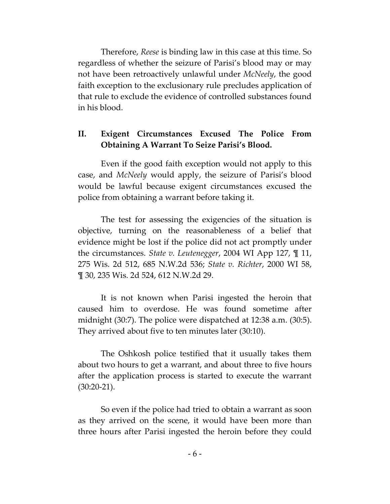Therefore, *Reese* is binding law in this case at this time. So regardless of whether the seizure of Parisi's blood may or may not have been retroactively unlawful under *McNeely*, the good faith exception to the exclusionary rule precludes application of that rule to exclude the evidence of controlled substances found in his blood.

# **II. Exigent Circumstances Excused The Police From Obtaining A Warrant To Seize Parisi's Blood.**

Even if the good faith exception would not apply to this case, and *McNeely* would apply, the seizure of Parisi's blood would be lawful because exigent circumstances excused the police from obtaining a warrant before taking it.

The test for assessing the exigencies of the situation is objective, turning on the reasonableness of a belief that evidence might be lost if the police did not act promptly under the circumstances. *State v. Leutenegger*, 2004 WI App 127, ¶ 11, 275 Wis. 2d 512, 685 N.W.2d 536; *State v. Richter*, 2000 WI 58, ¶ 30, 235 Wis. 2d 524, 612 N.W.2d 29.

It is not known when Parisi ingested the heroin that caused him to overdose. He was found sometime after midnight (30:7). The police were dispatched at 12:38 a.m. (30:5). They arrived about five to ten minutes later (30:10).

The Oshkosh police testified that it usually takes them about two hours to get a warrant, and about three to five hours after the application process is started to execute the warrant (30:20-21).

So even if the police had tried to obtain a warrant as soon as they arrived on the scene, it would have been more than three hours after Parisi ingested the heroin before they could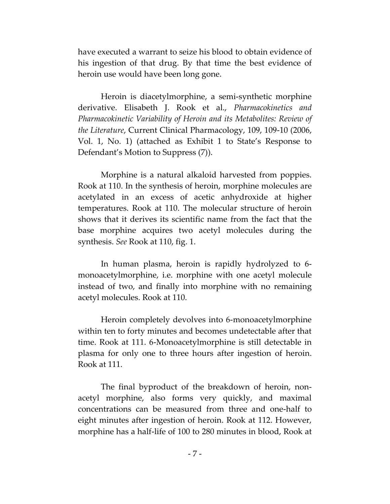have executed a warrant to seize his blood to obtain evidence of his ingestion of that drug. By that time the best evidence of heroin use would have been long gone.

Heroin is diacetylmorphine, a semi-synthetic morphine derivative. Elisabeth J. Rook et al., *Pharmacokinetics and Pharmacokinetic Variability of Heroin and its Metabolites: Review of the Literature*, Current Clinical Pharmacology, 109, 109-10 (2006, Vol. 1, No. 1) (attached as Exhibit 1 to State's Response to Defendant's Motion to Suppress (7)).

Morphine is a natural alkaloid harvested from poppies. Rook at 110. In the synthesis of heroin, morphine molecules are acetylated in an excess of acetic anhydroxide at higher temperatures. Rook at 110. The molecular structure of heroin shows that it derives its scientific name from the fact that the base morphine acquires two acetyl molecules during the synthesis. *See* Rook at 110, fig. 1.

In human plasma, heroin is rapidly hydrolyzed to 6 monoacetylmorphine, i.e. morphine with one acetyl molecule instead of two, and finally into morphine with no remaining acetyl molecules. Rook at 110.

Heroin completely devolves into 6-monoacetylmorphine within ten to forty minutes and becomes undetectable after that time. Rook at 111. 6-Monoacetylmorphine is still detectable in plasma for only one to three hours after ingestion of heroin. Rook at 111.

The final byproduct of the breakdown of heroin, nonacetyl morphine, also forms very quickly, and maximal concentrations can be measured from three and one-half to eight minutes after ingestion of heroin. Rook at 112. However, morphine has a half-life of 100 to 280 minutes in blood, Rook at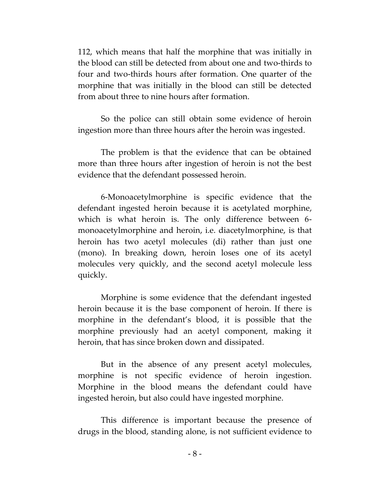112, which means that half the morphine that was initially in the blood can still be detected from about one and two-thirds to four and two-thirds hours after formation. One quarter of the morphine that was initially in the blood can still be detected from about three to nine hours after formation.

So the police can still obtain some evidence of heroin ingestion more than three hours after the heroin was ingested.

The problem is that the evidence that can be obtained more than three hours after ingestion of heroin is not the best evidence that the defendant possessed heroin.

6-Monoacetylmorphine is specific evidence that the defendant ingested heroin because it is acetylated morphine, which is what heroin is. The only difference between 6 monoacetylmorphine and heroin, i.e. diacetylmorphine, is that heroin has two acetyl molecules (di) rather than just one (mono). In breaking down, heroin loses one of its acetyl molecules very quickly, and the second acetyl molecule less quickly.

Morphine is some evidence that the defendant ingested heroin because it is the base component of heroin. If there is morphine in the defendant's blood, it is possible that the morphine previously had an acetyl component, making it heroin, that has since broken down and dissipated.

But in the absence of any present acetyl molecules, morphine is not specific evidence of heroin ingestion. Morphine in the blood means the defendant could have ingested heroin, but also could have ingested morphine.

This difference is important because the presence of drugs in the blood, standing alone, is not sufficient evidence to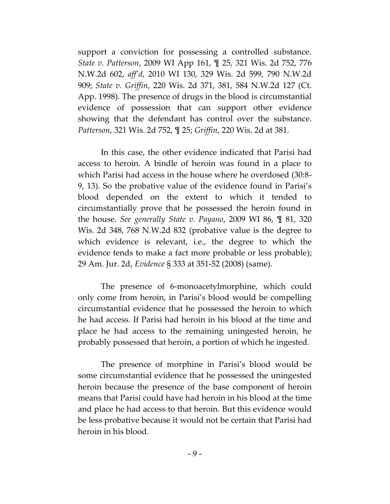support a conviction for possessing a controlled substance. *State v. Patterson*, 2009 WI App 161, ¶ 25, 321 Wis. 2d 752, 776 N.W.2d 602, *aff'd*, 2010 WI 130, 329 Wis. 2d 599, 790 N.W.2d 909; *State v. Griffin*, 220 Wis. 2d 371, 381, 584 N.W.2d 127 (Ct. App. 1998). The presence of drugs in the blood is circumstantial evidence of possession that can support other evidence showing that the defendant has control over the substance. *Patterson*, 321 Wis. 2d 752, ¶ 25; *Griffin*, 220 Wis. 2d at 381.

In this case, the other evidence indicated that Parisi had access to heroin. A bindle of heroin was found in a place to which Parisi had access in the house where he overdosed (30:8- 9, 13). So the probative value of the evidence found in Parisi's blood depended on the extent to which it tended to circumstantially prove that he possessed the heroin found in the house. *See generally State v. Payano*, 2009 WI 86, ¶ 81, 320 Wis. 2d 348, 768 N.W.2d 832 (probative value is the degree to which evidence is relevant, i.e., the degree to which the evidence tends to make a fact more probable or less probable); 29 Am. Jur. 2d, *Evidence* § 333 at 351-52 (2008) (same).

The presence of 6-monoacetylmorphine, which could only come from heroin, in Parisi's blood would be compelling circumstantial evidence that he possessed the heroin to which he had access. If Parisi had heroin in his blood at the time and place he had access to the remaining uningested heroin, he probably possessed that heroin, a portion of which he ingested.

The presence of morphine in Parisi's blood would be some circumstantial evidence that he possessed the uningested heroin because the presence of the base component of heroin means that Parisi could have had heroin in his blood at the time and place he had access to that heroin. But this evidence would be less probative because it would not be certain that Parisi had heroin in his blood.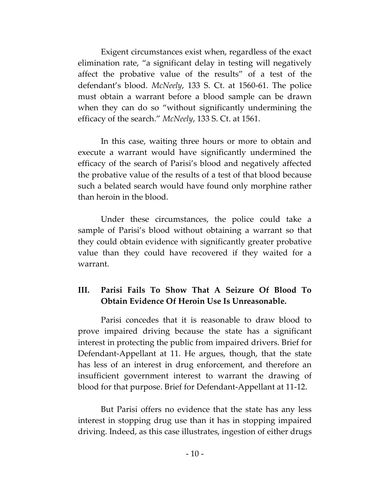Exigent circumstances exist when, regardless of the exact elimination rate, "a significant delay in testing will negatively affect the probative value of the results" of a test of the defendant's blood. *McNeely*, 133 S. Ct. at 1560-61. The police must obtain a warrant before a blood sample can be drawn when they can do so "without significantly undermining the efficacy of the search." *McNeely*, 133 S. Ct. at 1561.

In this case, waiting three hours or more to obtain and execute a warrant would have significantly undermined the efficacy of the search of Parisi's blood and negatively affected the probative value of the results of a test of that blood because such a belated search would have found only morphine rather than heroin in the blood.

Under these circumstances, the police could take a sample of Parisi's blood without obtaining a warrant so that they could obtain evidence with significantly greater probative value than they could have recovered if they waited for a warrant.

# **III. Parisi Fails To Show That A Seizure Of Blood To Obtain Evidence Of Heroin Use Is Unreasonable.**

Parisi concedes that it is reasonable to draw blood to prove impaired driving because the state has a significant interest in protecting the public from impaired drivers. Brief for Defendant-Appellant at 11. He argues, though, that the state has less of an interest in drug enforcement, and therefore an insufficient government interest to warrant the drawing of blood for that purpose. Brief for Defendant-Appellant at 11-12.

But Parisi offers no evidence that the state has any less interest in stopping drug use than it has in stopping impaired driving. Indeed, as this case illustrates, ingestion of either drugs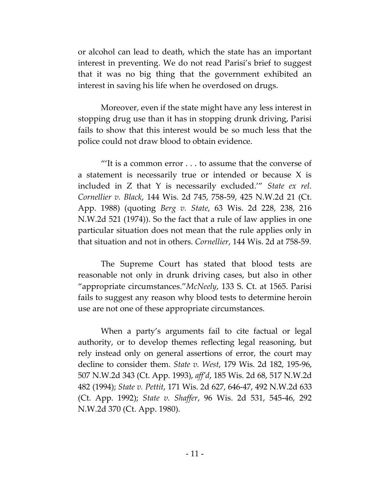or alcohol can lead to death, which the state has an important interest in preventing. We do not read Parisi's brief to suggest that it was no big thing that the government exhibited an interest in saving his life when he overdosed on drugs.

Moreover, even if the state might have any less interest in stopping drug use than it has in stopping drunk driving, Parisi fails to show that this interest would be so much less that the police could not draw blood to obtain evidence.

"It is a common error  $\dots$  to assume that the converse of a statement is necessarily true or intended or because X is included in Z that Y is necessarily excluded.'" *State ex rel. Cornellier v. Black*, 144 Wis. 2d 745, 758-59, 425 N.W.2d 21 (Ct. App. 1988) (quoting *Berg v. State*, 63 Wis. 2d 228, 238, 216 N.W.2d 521 (1974)). So the fact that a rule of law applies in one particular situation does not mean that the rule applies only in that situation and not in others. *Cornellier*, 144 Wis. 2d at 758-59.

The Supreme Court has stated that blood tests are reasonable not only in drunk driving cases, but also in other "appropriate circumstances."*McNeely*, 133 S. Ct. at 1565. Parisi fails to suggest any reason why blood tests to determine heroin use are not one of these appropriate circumstances.

When a party's arguments fail to cite factual or legal authority, or to develop themes reflecting legal reasoning, but rely instead only on general assertions of error, the court may decline to consider them. *State v. West*, 179 Wis. 2d 182, 195-96, 507 N.W.2d 343 (Ct. App. 1993), *aff'd*, 185 Wis. 2d 68, 517 N.W.2d 482 (1994); *State v. Pettit*, 171 Wis. 2d 627, 646-47, 492 N.W.2d 633 (Ct. App. 1992); *State v. Shaffer*, 96 Wis. 2d 531, 545-46, 292 N.W.2d 370 (Ct. App. 1980).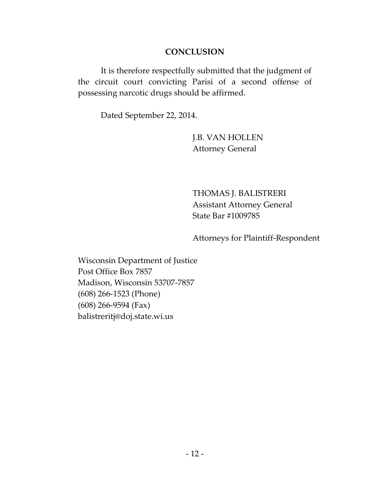### **CONCLUSION**

It is therefore respectfully submitted that the judgment of the circuit court convicting Parisi of a second offense of possessing narcotic drugs should be affirmed.

Dated September 22, 2014.

J.B. VAN HOLLEN Attorney General

THOMAS J. BALISTRERI Assistant Attorney General State Bar #1009785

Attorneys for Plaintiff-Respondent

Wisconsin Department of Justice Post Office Box 7857 Madison, Wisconsin 53707-7857 (608) 266-1523 (Phone) (608) 266-9594 (Fax) balistreritj@doj.state.wi.us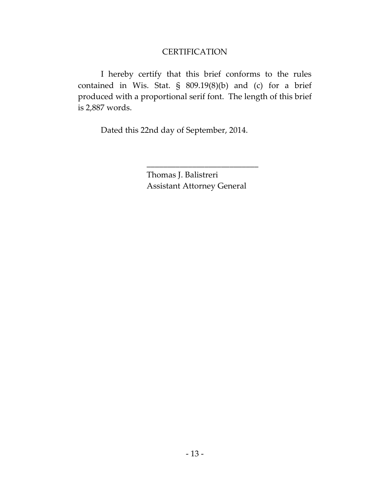# **CERTIFICATION**

I hereby certify that this brief conforms to the rules contained in Wis. Stat. § 809.19(8)(b) and (c) for a brief produced with a proportional serif font. The length of this brief is 2,887 words.

Dated this 22nd day of September, 2014.

Thomas J. Balistreri Assistant Attorney General

\_\_\_\_\_\_\_\_\_\_\_\_\_\_\_\_\_\_\_\_\_\_\_\_\_\_\_